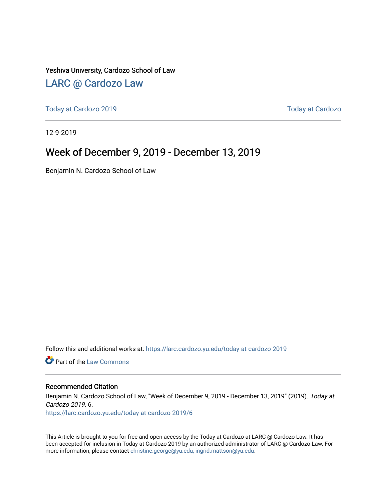Yeshiva University, Cardozo School of Law

#### [LARC @ Cardozo Law](https://larc.cardozo.yu.edu/)

[Today at Cardozo 2019](https://larc.cardozo.yu.edu/today-at-cardozo-2019) [Today at Cardozo](https://larc.cardozo.yu.edu/today-at-cardozo) 

12-9-2019

#### Week of December 9, 2019 - December 13, 2019

Benjamin N. Cardozo School of Law

Follow this and additional works at: [https://larc.cardozo.yu.edu/today-at-cardozo-2019](https://larc.cardozo.yu.edu/today-at-cardozo-2019?utm_source=larc.cardozo.yu.edu%2Ftoday-at-cardozo-2019%2F6&utm_medium=PDF&utm_campaign=PDFCoverPages)

**C** Part of the [Law Commons](http://network.bepress.com/hgg/discipline/578?utm_source=larc.cardozo.yu.edu%2Ftoday-at-cardozo-2019%2F6&utm_medium=PDF&utm_campaign=PDFCoverPages)

#### Recommended Citation

Benjamin N. Cardozo School of Law, "Week of December 9, 2019 - December 13, 2019" (2019). Today at Cardozo 2019. 6.

[https://larc.cardozo.yu.edu/today-at-cardozo-2019/6](https://larc.cardozo.yu.edu/today-at-cardozo-2019/6?utm_source=larc.cardozo.yu.edu%2Ftoday-at-cardozo-2019%2F6&utm_medium=PDF&utm_campaign=PDFCoverPages) 

This Article is brought to you for free and open access by the Today at Cardozo at LARC @ Cardozo Law. It has been accepted for inclusion in Today at Cardozo 2019 by an authorized administrator of LARC @ Cardozo Law. For more information, please contact [christine.george@yu.edu, ingrid.mattson@yu.edu](mailto:christine.george@yu.edu,%20ingrid.mattson@yu.edu).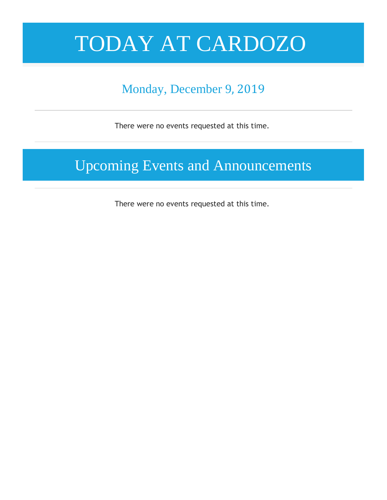# TODAY AT CARDOZO

### Monday, December 9, 2019

There were no events requested at this time.

### Upcoming Events and Announcements

There were no events requested at this time.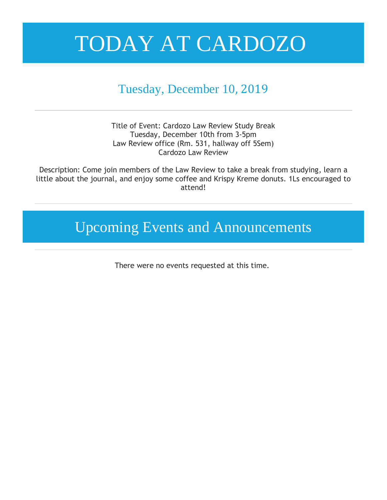## TODAY AT CARDOZO

### Tuesday, December 10, 2019

Title of Event: Cardozo Law Review Study Break Tuesday, December 10th from 3-5pm Law Review office (Rm. 531, hallway off 5Sem) Cardozo Law Review

Description: Come join members of the Law Review to take a break from studying, learn a little about the journal, and enjoy some coffee and Krispy Kreme donuts. 1Ls encouraged to attend!

Upcoming Events and Announcements

There were no events requested at this time.